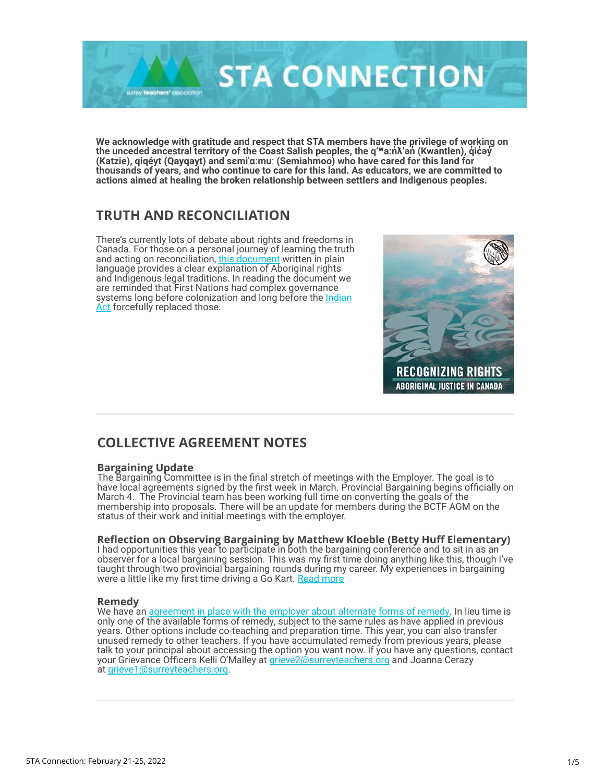

**We acknowledge with gratitude and respect that STA members have the privilege of working on the unceded ancestral territory of the Coast Salish peoples, the q'ʷa:nƛ'ən ̓ ̓ (Kwantlen), q̓icəy̓ ̓ (Katzie), qiqéyt (Qayqayt) and sɛmiˈɑːmuː (Semiahmoo) who have cared for this land for thousands of years, and who continue to care for this land. As educators, we are committed to actions aimed at healing the broken relationship between settlers and Indigenous peoples.** 

# **TRUTH AND RECONCILIATION**

There's currently lots of debate about rights and freedoms in Canada. For those on a personal journey of learning the truth and acting on reconciliation, [this document](https://surreyteachers.us20.list-manage.com/track/click?u=37ec644ae87e34b54b3912660&id=066381256c&e=7261da6bdb) written in plain language provides a clear explanation of Aboriginal rights and Indigenous legal traditions. In reading the document we are reminded that First Nations had complex governance [systems long before colonization and long before the Indian](https://surreyteachers.us20.list-manage.com/track/click?u=37ec644ae87e34b54b3912660&id=54f4774bf0&e=7261da6bdb) Act forcefully replaced those.



# **COLLECTIVE AGREEMENT NOTES**

#### **Bargaining Update**

The Bargaining Committee is in the final stretch of meetings with the Employer. The goal is to have local agreements signed by the first week in March. Provincial Bargaining begins officially on March 4. The Provincial team has been working full time on converting the goals of the membership into proposals. There will be an update for members during the BCTF AGM on the status of their work and initial meetings with the employer.

### **Reflection on Observing Bargaining by Matthew Kloeble (Betty Huff Elementary)**

I had opportunities this year to participate in both the bargaining conference and to sit in as an observer for a local bargaining session. This was my first time doing anything like this, though I've taught through two provincial bargaining rounds during my career. My experiences in bargaining were a little like my first time driving a Go Kart. <u>Read more</u>

#### **Remedy**

We have a[n agreement in place with the employer about alternate forms of remedy.](https://surreyteachers.us20.list-manage.com/track/click?u=37ec644ae87e34b54b3912660&id=cd9efc0d72&e=7261da6bdb) In lieu time is only one of the available forms of remedy, subject to the same rules as have applied in previous years. Other options include co-teaching and preparation time. This year, you can also transfer unused remedy to other teachers. If you have accumulated remedy from previous years, please talk to your principal about accessing the option you want now. If you have any questions, contact your Grievance Officers Kelli O'Malley at [grieve2@surreyteachers.org a](mailto:grieve2@surreyteachers.org)nd Joanna Cerazy at [grieve1@surreyteachers.org.](mailto:grieve1@surreyteachers.org)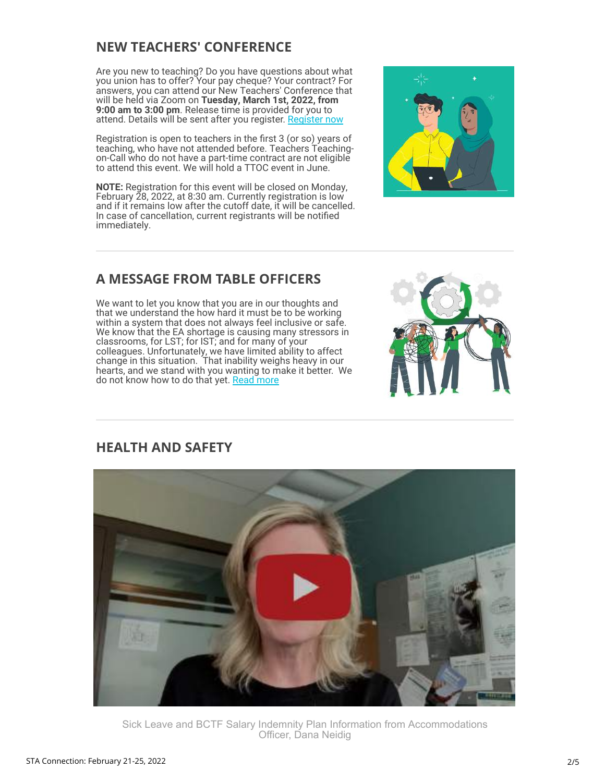# **NEW TEACHERS' CONFERENCE**

Are you new to teaching? Do you have questions about what you union has to offer? Your pay cheque? Your contract? For answers, you can attend our New Teachers' Conference that will be held via Zoom on **Tuesday, March 1st, 2022, from 9:00 am to 3:00 pm**. Release time is provided for you to attend. Details will be sent after you register. [Register now](https://surreyteachers.us20.list-manage.com/track/click?u=37ec644ae87e34b54b3912660&id=86e2fced17&e=7261da6bdb)

Registration is open to teachers in the first 3 (or so) years of teaching, who have not attended before. Teachers Teachingon-Call who do not have a part-time contract are not eligible to attend this event. We will hold a TTOC event in June.

**NOTE:** Registration for this event will be closed on Monday, February 28, 2022, at 8:30 am. Currently registration is low and if it remains low after the cutoff date, it will be cancelled. In case of cancellation, current registrants will be notified immediately.



# **A MESSAGE FROM TABLE OFFICERS**

We want to let you know that you are in our thoughts and that we understand the how hard it must be to be working within a system that does not always feel inclusive or safe. We know that the EA shortage is causing many stressors in classrooms, for LST; for IST; and for many of your colleagues. Unfortunately, we have limited ability to affect change in this situation. That inability weighs heavy in our hearts, and we stand with you wanting to make it better. We do not know how to do that yet. [Read more](https://surreyteachers.us20.list-manage.com/track/click?u=37ec644ae87e34b54b3912660&id=51d263f697&e=7261da6bdb)



## **HEALTH AND SAFETY**



Sick Leave and BCTF Salary Indemnity Plan Information from Accommodations Officer, Dana Neidig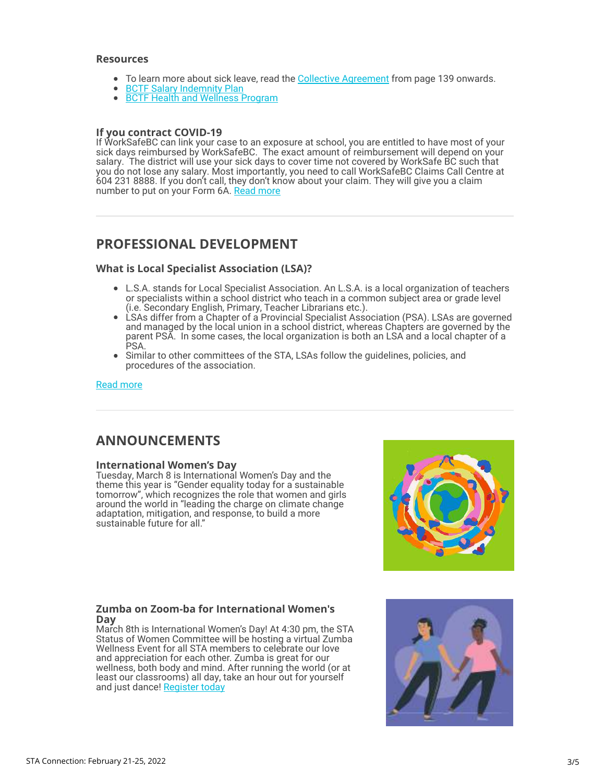#### **Resources**

- To learn more about sick leave, read the [Collective Agreement](https://surreyteachers.us20.list-manage.com/track/click?u=37ec644ae87e34b54b3912660&id=b310c39309&e=7261da6bdb) from page 139 onwards.
- **[BCTF Salary Indemnity Plan](https://surreyteachers.us20.list-manage.com/track/click?u=37ec644ae87e34b54b3912660&id=3907dead2b&e=7261da6bdb)**
- **[BCTF Health and Wellness Program](https://surreyteachers.us20.list-manage.com/track/click?u=37ec644ae87e34b54b3912660&id=b7cb8a2f70&e=7261da6bdb)**

#### **If you contract COVID-19**

If WorkSafeBC can link your case to an exposure at school, you are entitled to have most of your sick days reimbursed by WorkSafeBC. The exact amount of reimbursement will depend on your salary. The district will use your sick days to cover time not covered by WorkSafe BC such that you do not lose any salary. Most importantly, you need to call WorkSafeBC Claims Call Centre at 604 231 8888. If you don't call, they don't know about your claim. They will give you a claim number to put on your Form 6A[. Read more](https://surreyteachers.us20.list-manage.com/track/click?u=37ec644ae87e34b54b3912660&id=f77eeabf52&e=7261da6bdb)

## **PROFESSIONAL DEVELOPMENT**

#### **What is Local Specialist Association (LSA)?**

- L.S.A. stands for Local Specialist Association. An L.S.A. is a local organization of teachers or specialists within a school district who teach in a common subject area or grade level (i.e. Secondary English, Primary, Teacher Librarians etc.).
- LSAs differ from a Chapter of a Provincial Specialist Association (PSA). LSAs are governed and managed by the local union in a school district, whereas Chapters are governed by the parent PSA. In some cases, the local organization is both an LSA and a local chapter of a PSA.
- Similar to other committees of the STA, LSAs follow the guidelines, policies, and procedures of the association.

#### [Read more](https://surreyteachers.us20.list-manage.com/track/click?u=37ec644ae87e34b54b3912660&id=b80f7b7420&e=7261da6bdb)

## **ANNOUNCEMENTS**

### **International Women's Day**

Tuesday, March 8 is International Women's Day and the theme this year is "Gender equality today for a sustainable tomorrow", which recognizes the role that women and girls around the world in "leading the charge on climate change adaptation, mitigation, and response, to build a more sustainable future for all."



#### **Zumba on Zoom-ba for International Women's Day**

March 8th is International Women's Day! At 4:30 pm, the STA Status of Women Committee will be hosting a virtual Zumba Wellness Event for all STA members to celebrate our love and appreciation for each other. Zumba is great for our wellness, both body and mind. After running the world (or at least our classrooms) all day, take an hour out for yourself and just dance! [Register today](https://surreyteachers.us20.list-manage.com/track/click?u=37ec644ae87e34b54b3912660&id=381976399c&e=7261da6bdb)

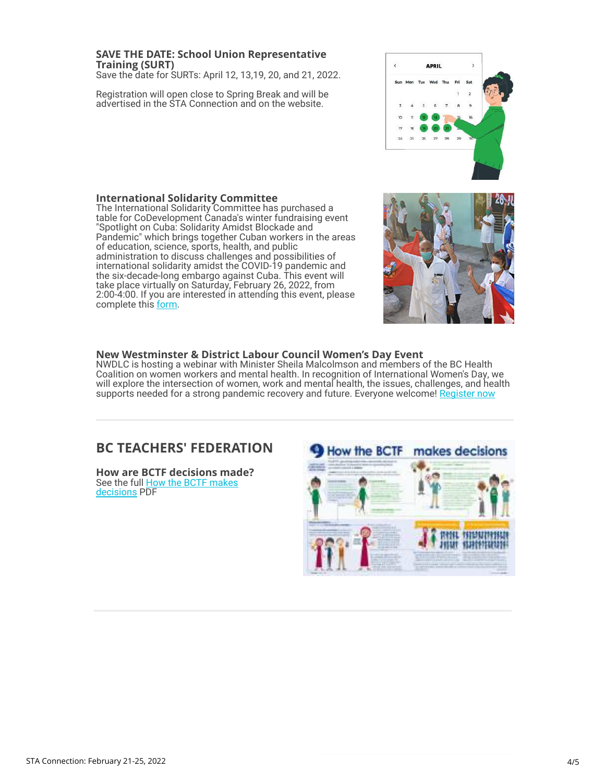### **Training (SURT)** Save the date for SURTs: April 12, 13,19, 20, and 21, 2022.

Registration will open close to Spring Break and will be advertised in the STA Connection and on the website.

**SAVE THE DATE: School Union Representative**

#### **International Solidarity Committee**

The International Solidarity Committee has purchased a table for CoDevelopment Canada's winter fundraising event "Spotlight on Cuba: Solidarity Amidst Blockade and Pandemic" which brings together Cuban workers in the areas of education, science, sports, health, and public administration to discuss challenges and possibilities of international solidarity amidst the COVID-19 pandemic and the six-decade-long embargo against Cuba. This event will take place virtually on Saturday, February 26, 2022, from 2:00-4:00. If you are interested in attending this event, please complete this [form.](https://surreyteachers.us20.list-manage.com/track/click?u=37ec644ae87e34b54b3912660&id=af6f442b39&e=7261da6bdb)





### **New Westminster & District Labour Council Women's Day Event**

NWDLC is hosting a webinar with Minister Sheila Malcolmson and members of the BC Health Coalition on women workers and mental health. In recognition of International Women's Day, we will explore the intersection of women, work and mental health, the issues, challenges, and health supports needed for a strong pandemic recovery and future. Everyone welcome! [Register now](https://surreyteachers.us20.list-manage.com/track/click?u=37ec644ae87e34b54b3912660&id=82d03092a6&e=7261da6bdb)

## **BC TEACHERS' FEDERATION**

**How are BCTF decisions made?** [See the full How the BCTF makes](https://surreyteachers.us20.list-manage.com/track/click?u=37ec644ae87e34b54b3912660&id=2d8592a2dd&e=7261da6bdb) decisions PDF